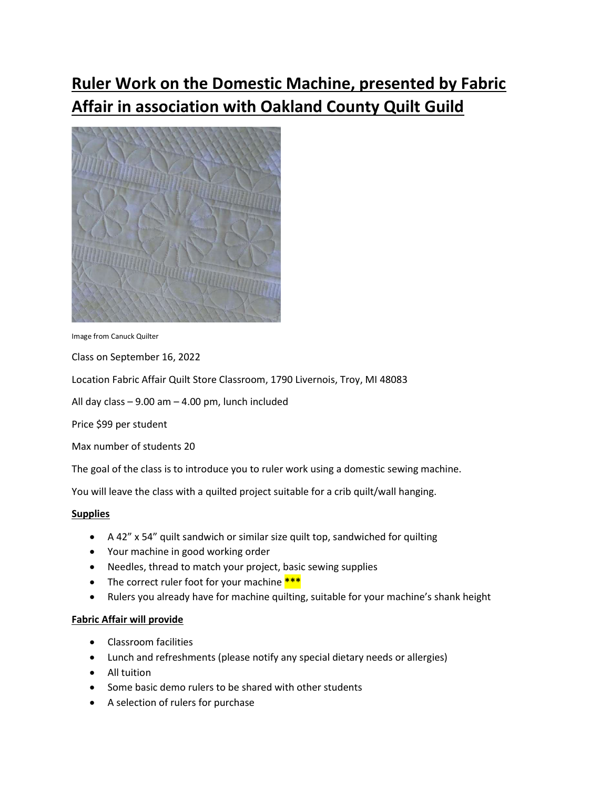# Ruler Work on the Domestic Machine, presented by Fabric Affair in association with Oakland County Quilt Guild



Image from Canuck Quilter

Class on September 16, 2022

Location Fabric Affair Quilt Store Classroom, 1790 Livernois, Troy, MI 48083

All day class – 9.00 am – 4.00 pm, lunch included

Price \$99 per student

Max number of students 20

The goal of the class is to introduce you to ruler work using a domestic sewing machine.

You will leave the class with a quilted project suitable for a crib quilt/wall hanging.

#### Supplies

- A 42" x 54" quilt sandwich or similar size quilt top, sandwiched for quilting
- Your machine in good working order
- Needles, thread to match your project, basic sewing supplies
- The correct ruler foot for your machine \*\*\*
- Rulers you already have for machine quilting, suitable for your machine's shank height

#### Fabric Affair will provide

- Classroom facilities
- Lunch and refreshments (please notify any special dietary needs or allergies)
- All tuition
- Some basic demo rulers to be shared with other students
- A selection of rulers for purchase